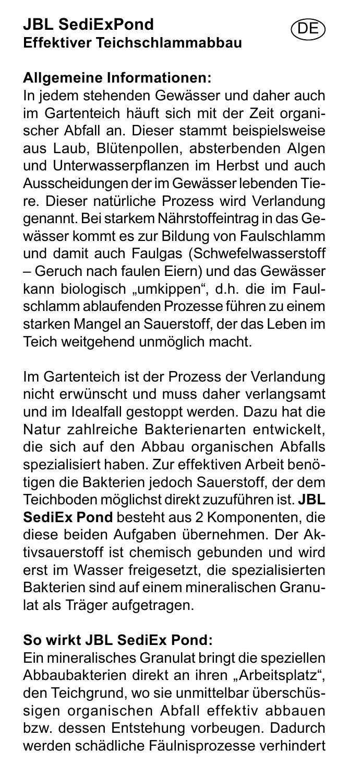## **JBL SediExPond Effektiver Teichschlammabbau**

#### **Allgemeine Informationen:**

In jedem stehenden Gewässer und daher auch im Gartenteich häuft sich mit der Zeit organischer Abfall an. Dieser stammt beispielsweise aus Laub, Blütenpollen, absterbenden Algen und Unterwasserpflanzen im Herbst und auch Ausscheidungen der im Gewässer lebenden Tiere. Dieser natürliche Prozess wird Verlandung genannt. Bei starkem Nährstoffeintrag in das Gewässer kommt es zur Bildung von Faulschlamm und damit auch Faulgas (Schwefelwasserstoff – Geruch nach faulen Eiern) und das Gewässer kann biologisch "umkippen", d.h. die im Faulschlamm ablaufenden Prozesse führen zu einem starken Mangel an Sauerstoff, der das Leben im Teich weitgehend unmöglich macht.

DE

Im Gartenteich ist der Prozess der Verlandung nicht erwünscht und muss daher verlangsamt und im Idealfall gestoppt werden. Dazu hat die Natur zahlreiche Bakterienarten entwickelt, die sich auf den Abbau organischen Abfalls spezialisiert haben. Zur effektiven Arbeit benötigen die Bakterien jedoch Sauerstoff, der dem Teichboden möglichst direkt zuzuführen ist. **JBL SediEx Pond** besteht aus 2 Komponenten, die diese beiden Aufgaben übernehmen. Der Aktivsauerstoff ist chemisch gebunden und wird erst im Wasser freigesetzt, die spezialisierten Bakterien sind auf einem mineralischen Granulat als Träger aufgetragen.

#### **So wirkt JBL SediEx Pond:**

Ein mineralisches Granulat bringt die speziellen Abbaubakterien direkt an ihren "Arbeitsplatz". den Teichgrund, wo sie unmittelbar überschüssigen organischen Abfall effektiv abbauen bzw. dessen Entstehung vorbeugen. Dadurch werden schädliche Fäulnisprozesse verhindert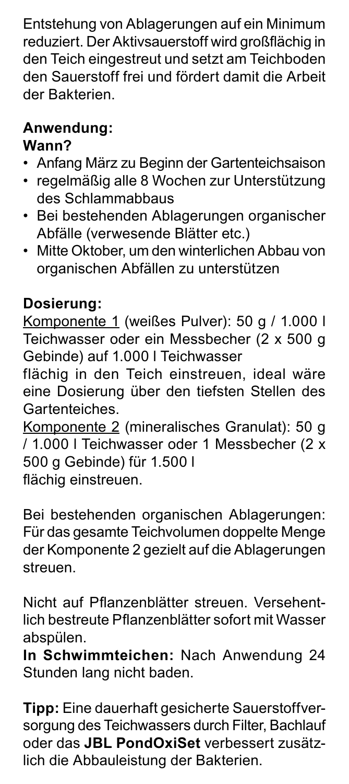Entstehung von Ablagerungen auf ein Minimum reduziert. Der Aktivsauerstoff wird großflächig in den Teich eingestreut und setzt am Teichboden den Sauerstoff frei und fördert damit die Arbeit der Bakterien.

## **Anwendung:**

## **Wann?**

- Anfang März zu Beginn der Gartenteichsaison
- regelmäßig alle 8 Wochen zur Unterstützung des Schlammabbaus
- Bei bestehenden Ablagerungen organischer Abfälle (verwesende Blätter etc.)
- Mitte Oktober, um den winterlichen Abbau von organischen Abfällen zu unterstützen

## **Dosierung:**

Komponente 1 (weißes Pulver): 50 g / 1.000 l Teichwasser oder ein Messbecher (2 x 500 g Gebinde) auf 1.000 l Teichwasser

flächig in den Teich einstreuen, ideal wäre eine Dosierung über den tiefsten Stellen des Gartenteiches.

Komponente 2 (mineralisches Granulat): 50 g / 1.000 l Teichwasser oder 1 Messbecher (2 x 500 g Gebinde) für 1.500 l flächig einstreuen.

Bei bestehenden organischen Ablagerungen: Für das gesamte Teichvolumen doppelte Menge der Komponente 2 gezielt auf die Ablagerungen streuen.

Nicht auf Pflanzenblätter streuen. Versehentlich bestreute Pflanzenblätter sofort mit Wasser abspülen.

**In Schwimmteichen:** Nach Anwendung 24 Stunden lang nicht baden.

**Tipp:** Eine dauerhaft gesicherte Sauerstoffversorgung des Teichwassers durch Filter, Bachlauf oder das **JBL PondOxiSet** verbessert zusätzlich die Abbauleistung der Bakterien.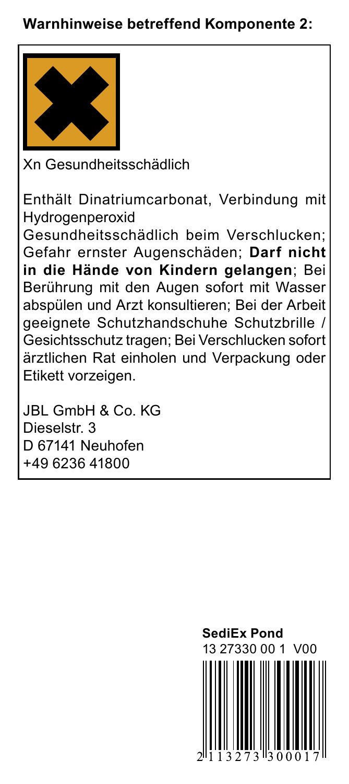### **Warnhinweise betreffend Komponente 2:**



Xn Gesundheitsschädlich

Enthält Dinatriumcarbonat, Verbindung mit Hydrogenperoxid

Gesundheitsschädlich beim Verschlucken; Gefahr ernster Augenschäden; **Darf nicht in die Hände von Kindern gelangen**; Bei Berührung mit den Augen sofort mit Wasser abspülen und Arzt konsultieren; Bei der Arbeit geeignete Schutzhandschuhe Schutzbrille / Gesichtsschutz tragen; Bei Verschlucken sofort ärztlichen Rat einholen und Verpackung oder Etikett vorzeigen.

JBL GmbH & Co. KG Dieselstr. 3 D 67141 Neuhofen +49 6236 41800

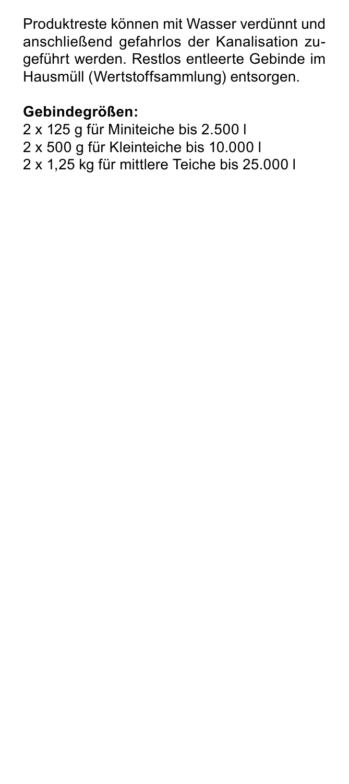Produktreste können mit Wasser verdünnt und anschließend gefahrlos der Kanalisation zugeführt werden. Restlos entleerte Gebinde im Hausmüll (Wertstoffsammlung) entsorgen.

### **Gebindegrößen:**

2 x 125 g für Miniteiche bis 2.500 l 2 x 500 g für Kleinteiche bis 10.000 l 2 x 1,25 kg für mittlere Teiche bis 25.000 l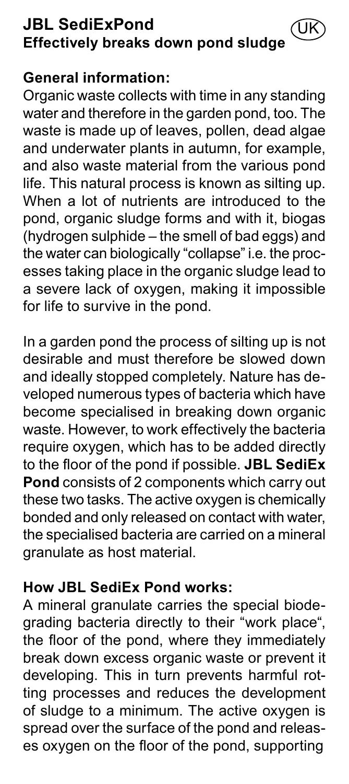#### **JBL SediExPond Effectively breaks down pond sludge** UK

#### **General information:**

Organic waste collects with time in any standing water and therefore in the garden pond, too. The waste is made up of leaves, pollen, dead algae and underwater plants in autumn, for example, and also waste material from the various pond life. This natural process is known as silting up. When a lot of nutrients are introduced to the pond, organic sludge forms and with it, biogas (hydrogen sulphide – the smell of bad eggs) and the water can biologically "collapse" i.e. the processes taking place in the organic sludge lead to a severe lack of oxygen, making it impossible for life to survive in the pond.

In a garden pond the process of silting up is not desirable and must therefore be slowed down and ideally stopped completely. Nature has developed numerous types of bacteria which have become specialised in breaking down organic waste. However, to work effectively the bacteria require oxygen, which has to be added directly to the floor of the pond if possible. **JBL SediEx Pond** consists of 2 components which carry out these two tasks. The active oxygen is chemically bonded and only released on contact with water, the specialised bacteria are carried on a mineral granulate as host material.

## **How JBL SediEx Pond works:**

A mineral granulate carries the special biodegrading bacteria directly to their "work place", the floor of the pond, where they immediately break down excess organic waste or prevent it developing. This in turn prevents harmful rotting processes and reduces the development of sludge to a minimum. The active oxygen is spread over the surface of the pond and releases oxygen on the floor of the pond, supporting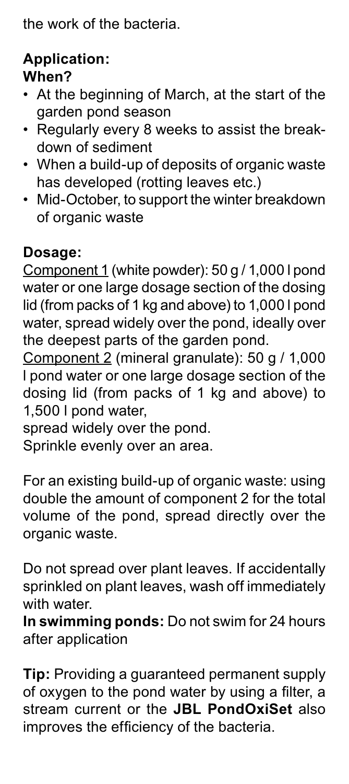the work of the bacteria.

## **Application: When?**

- At the beginning of March, at the start of the garden pond season
- Regularly every 8 weeks to assist the breakdown of sediment
- When a build-up of deposits of organic waste has developed (rotting leaves etc.)
- Mid-October, to support the winter breakdown of organic waste

## **Dosage:**

Component 1 (white powder): 50 g / 1,000 l pond water or one large dosage section of the dosing lid (from packs of 1 kg and above) to 1,000 l pond water, spread widely over the pond, ideally over the deepest parts of the garden pond.

Component 2 (mineral granulate): 50 g / 1,000 l pond water or one large dosage section of the dosing lid (from packs of 1 kg and above) to 1,500 l pond water,

spread widely over the pond.

Sprinkle evenly over an area.

For an existing build-up of organic waste: using double the amount of component 2 for the total volume of the pond, spread directly over the organic waste.

Do not spread over plant leaves. If accidentally sprinkled on plant leaves, wash off immediately with water.

**In swimming ponds:** Do not swim for 24 hours after application

**Tip:** Providing a guaranteed permanent supply of oxygen to the pond water by using a filter, a stream current or the **JBL PondOxiSet** also improves the efficiency of the bacteria.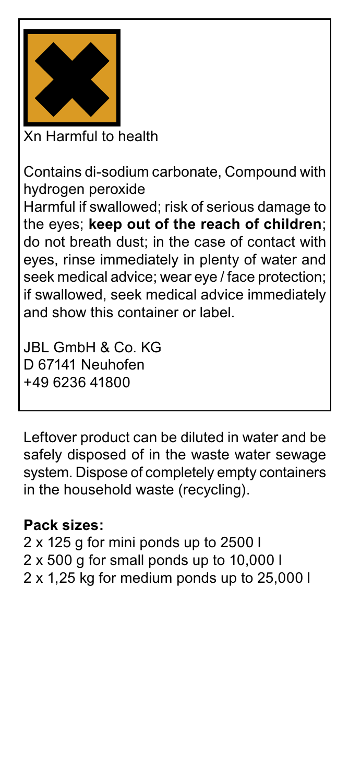

Xn Harmful to health

Contains di-sodium carbonate, Compound with hydrogen peroxide

Harmful if swallowed; risk of serious damage to the eyes; **keep out of the reach of children**; do not breath dust; in the case of contact with eyes, rinse immediately in plenty of water and seek medical advice; wear eye / face protection; if swallowed, seek medical advice immediately and show this container or label.

JBL GmbH & Co. KG D 67141 Neuhofen +49 6236 41800

Leftover product can be diluted in water and be safely disposed of in the waste water sewage system. Dispose of completely empty containers in the household waste (recycling).

#### **Pack sizes:**

2 x 125 g for mini ponds up to 2500 l 2 x 500 g for small ponds up to 10,000 l 2 x 1,25 kg for medium ponds up to 25,000 l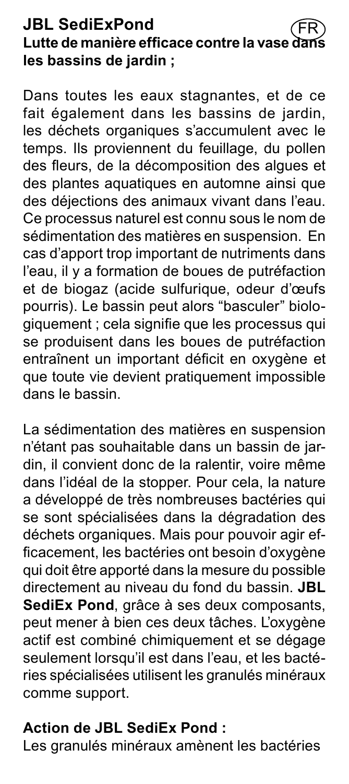#### **JBL SediExPond** Lutte de manière efficace contre la vase **les bassins de jardin ;** FR

Dans toutes les eaux stagnantes, et de ce fait également dans les bassins de jardin, les déchets organiques s'accumulent avec le temps. Ils proviennent du feuillage, du pollen des fleurs, de la décomposition des algues et des plantes aquatiques en automne ainsi que des déjections des animaux vivant dans l'eau. Ce processus naturel est connu sous le nom de sédimentation des matières en suspension. En cas d'apport trop important de nutriments dans l'eau, il y a formation de boues de putréfaction et de biogaz (acide sulfurique, odeur d'œufs pourris). Le bassin peut alors "basculer" biologiquement ; cela signifie que les processus qui se produisent dans les boues de putréfaction entraînent un important déficit en oxygène et que toute vie devient pratiquement impossible dans le bassin.

La sédimentation des matières en suspension n'étant pas souhaitable dans un bassin de jardin, il convient donc de la ralentir, voire même dans l'idéal de la stopper. Pour cela, la nature a développé de très nombreuses bactéries qui se sont spécialisées dans la dégradation des déchets organiques. Mais pour pouvoir agir efficacement, les bactéries ont besoin d'oxygène qui doit être apporté dans la mesure du possible directement au niveau du fond du bassin. **JBL**  SediEx Pond. arâce à ses deux composants, peut mener à bien ces deux tâches. L'oxygène actif est combiné chimiquement et se dégage seulement lorsqu'il est dans l'eau, et les bactéries spécialisées utilisent les granulés minéraux comme support.

#### **Action de JBL SediEx Pond :**

Les granulés minéraux amènent les bactéries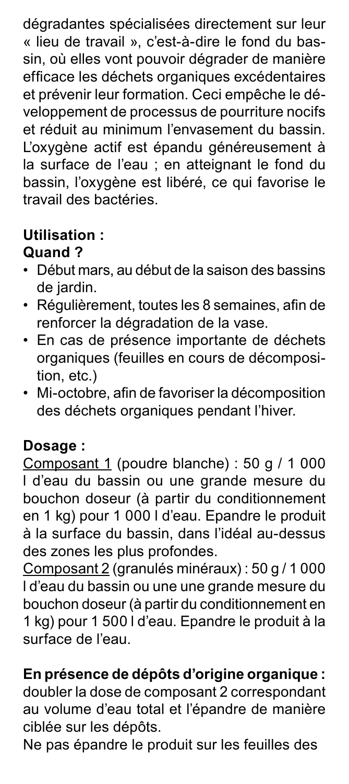dégradantes spécialisées directement sur leur « lieu de travail », c'est-à-dire le fond du bassin, où elles vont pouvoir dégrader de manière efficace les déchets organiques excédentaires et prévenir leur formation. Ceci empêche le développement de processus de pourriture nocifs et réduit au minimum l'envasement du bassin. L'oxygène actif est épandu généreusement à la surface de l'eau ; en atteignant le fond du bassin, l'oxygène est libéré, ce qui favorise le travail des bactéries.

### **Utilisation : Quand ?**

- Début mars, au début de la saison des bassins de jardin.
- Régulièrement, toutes les 8 semaines, afin de renforcer la dégradation de la vase.
- En cas de présence importante de déchets organiques (feuilles en cours de décomposition, etc.)
- Mi-octobre, afin de favoriser la décomposition des déchets organiques pendant l'hiver.

## **Dosage :**

Composant 1 (poudre blanche) : 50 g / 1 000 l d'eau du bassin ou une grande mesure du bouchon doseur (à partir du conditionnement en 1 kg) pour 1 000 l d'eau. Epandre le produit à la surface du bassin, dans l'idéal au-dessus des zones les plus profondes.

Composant 2 (granulés minéraux) : 50 g / 1 000 l d'eau du bassin ou une une grande mesure du bouchon doseur (à partir du conditionnement en 1 kg) pour 1 500 l d'eau. Epandre le produit à la surface de l'eau.

## **En présence de dépôts d'origine organique :**

doubler la dose de composant 2 correspondant au volume d'eau total et l'épandre de manière ciblée sur les dépôts.

Ne pas épandre le produit sur les feuilles des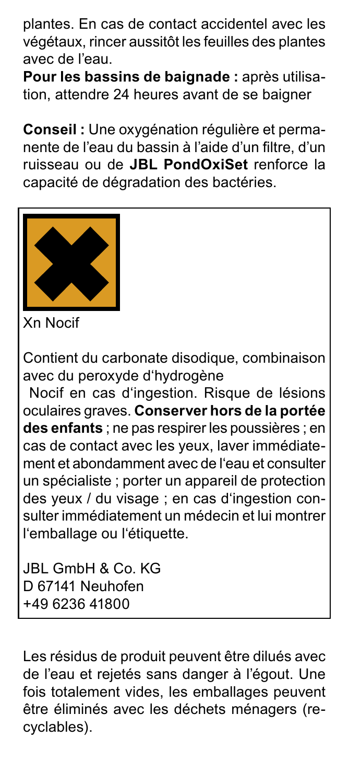plantes. En cas de contact accidentel avec les végétaux, rincer aussitôt les feuilles des plantes avec de l'eau.

**Pour les bassins de baignade :** après utilisation, attendre 24 heures avant de se baigner

**Conseil :** Une oxygénation régulière et permanente de l'eau du bassin à l'aide d'un filtre, d'un ruisseau ou de **JBL PondOxiSet** renforce la capacité de dégradation des bactéries.



Xn Nocif

Contient du carbonate disodique, combinaison avec du peroxyde d'hydrogène

 Nocif en cas d'ingestion. Risque de lésions oculaires graves. **Conserver hors de la portée des enfants** ; ne pas respirer les poussières ; en cas de contact avec les yeux, laver immédiatement et abondamment avec de l'eau et consulter un spécialiste ; porter un appareil de protection des yeux / du visage ; en cas d'ingestion consulter immédiatement un médecin et lui montrer l'emballage ou l'étiquette.

JBL GmbH & Co. KG D 67141 Neuhofen +49 6236 41800

Les résidus de produit peuvent être dilués avec de l'eau et rejetés sans danger à l'égout. Une fois totalement vides, les emballages peuvent être éliminés avec les déchets ménagers (recyclables).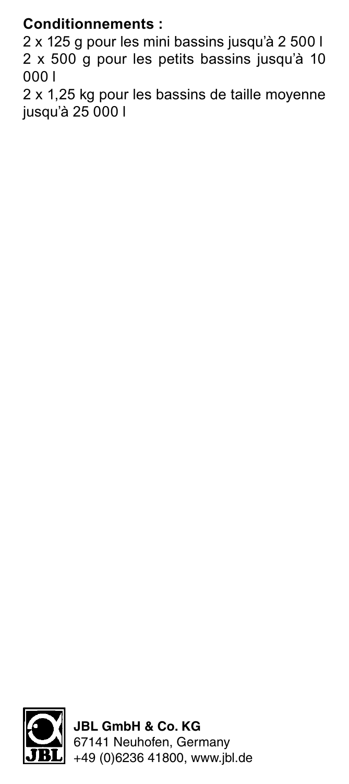## **Conditionnements :**

2 x 125 g pour les mini bassins jusqu'à 2 500 l 2 x 500 g pour les petits bassins jusqu'à 10 000 l

2 x 1,25 kg pour les bassins de taille moyenne jusqu'à 25 000 l



**JBL GmbH & Co. KG** 67141 Neuhofen, Germany +49 (0)6236 41800, www.jbl.de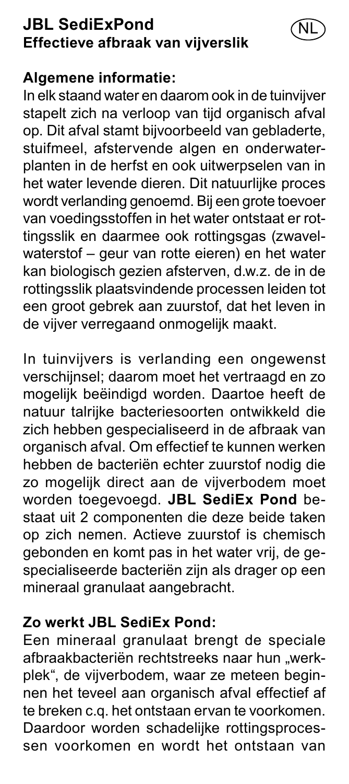## **JBL SediExPond Effectieve afbraak van vijverslik**

#### **Algemene informatie:**

In elk staand water en daarom ook in de tuinvijver stapelt zich na verloop van tijd organisch afval op. Dit afval stamt bijvoorbeeld van gebladerte, stuifmeel, afstervende algen en onderwaterplanten in de herfst en ook uitwerpselen van in het water levende dieren. Dit natuurlijke proces wordt verlanding genoemd. Bij een grote toevoer van voedingsstoffen in het water ontstaat er rottingsslik en daarmee ook rottingsgas (zwavelwaterstof – geur van rotte eieren) en het water kan biologisch gezien afsterven, d.w.z. de in de rottingsslik plaatsvindende processen leiden tot een groot gebrek aan zuurstof, dat het leven in de vijver verregaand onmogelijk maakt.

NL

In tuinvijvers is verlanding een ongewenst verschijnsel; daarom moet het vertraagd en zo mogelijk beëindigd worden. Daartoe heeft de natuur talrijke bacteriesoorten ontwikkeld die zich hebben gespecialiseerd in de afbraak van organisch afval. Om effectief te kunnen werken hebben de bacteriën echter zuurstof nodig die zo mogelijk direct aan de vijverbodem moet worden toegevoegd. **JBL SediEx Pond** bestaat uit 2 componenten die deze beide taken op zich nemen. Actieve zuurstof is chemisch gebonden en komt pas in het water vrij, de gespecialiseerde bacteriën zijn als drager op een mineraal granulaat aangebracht.

## **Zo werkt JBL SediEx Pond:**

Een mineraal granulaat brengt de speciale afbraakbacteriën rechtstreeks naar hun "werkplek", de vijverbodem, waar ze meteen beginnen het teveel aan organisch afval effectief af te breken c.q. het ontstaan ervan te voorkomen. Daardoor worden schadelijke rottingsprocessen voorkomen en wordt het ontstaan van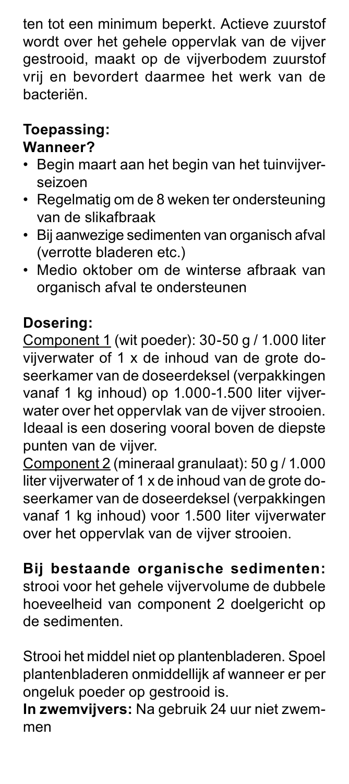ten tot een minimum beperkt. Actieve zuurstof wordt over het gehele oppervlak van de vijver gestrooid, maakt op de vijverbodem zuurstof vrij en bevordert daarmee het werk van de bacteriën.

## **Toepassing:**

## **Wanneer?**

- Begin maart aan het begin van het tuinvijverseizoen
- Regelmatig om de 8 weken ter ondersteuning van de slikafbraak
- Bij aanwezige sedimenten van organisch afval (verrotte bladeren etc.)
- Medio oktober om de winterse afbraak van organisch afval te ondersteunen

# **Dosering:**

Component 1 (wit poeder): 30-50 g / 1.000 liter vijverwater of 1 x de inhoud van de grote doseerkamer van de doseerdeksel (verpakkingen vanaf 1 kg inhoud) op 1.000-1.500 liter vijverwater over het oppervlak van de vijver strooien. Ideaal is een dosering vooral boven de diepste punten van de vijver.

Component 2 (mineraal granulaat): 50 g / 1.000 liter vijverwater of 1 x de inhoud van de grote doseerkamer van de doseerdeksel (verpakkingen vanaf 1 kg inhoud) voor 1.500 liter vijverwater over het oppervlak van de vijver strooien.

# **Bij bestaande organische sedimenten:**

strooi voor het gehele vijvervolume de dubbele hoeveelheid van component 2 doelgericht op de sedimenten.

Strooi het middel niet op plantenbladeren. Spoel plantenbladeren onmiddellijk af wanneer er per ongeluk poeder op gestrooid is.

**In zwemvijvers:** Na gebruik 24 uur niet zwemmen